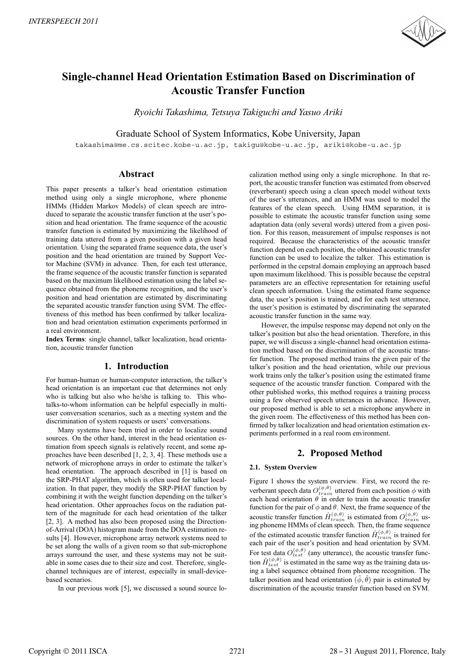

# **Single-channel Head Orientation Estimation Based on Discrimination of Acoustic Transfer Function**

*Ryoichi Takashima, Tetsuya Takiguchi and Yasuo Ariki*

Graduate School of System Informatics, Kobe University, Japan

takashima@me.cs.scitec.kobe-u.ac.jp, takigu@kobe-u.ac.jp, ariki@kobe-u.ac.jp

## **Abstract**

This paper presents a talker's head orientation estimation method using only a single microphone, where phoneme HMMs (Hidden Markov Models) of clean speech are introduced to separate the acoustic transfer function at the user's position and head orientation. The frame sequence of the acoustic transfer function is estimated by maximizing the likelihood of training data uttered from a given position with a given head orientation. Using the separated frame sequence data, the user's position and the head orientation are trained by Support Vector Machine (SVM) in advance. Then, for each test utterance, the frame sequence of the acoustic transfer function is separated based on the maximum likelihood estimation using the label sequence obtained from the phoneme recognition, and the user's position and head orientation are estimated by discriminating the separated acoustic transfer function using SVM. The effectiveness of this method has been confirmed by talker localization and head orientation estimation experiments performed in a real environment.

**Index Terms**: single channel, talker localization, head orientation, acoustic transfer function

# **1. Introduction**

For human-human or human-computer interaction, the talker's head orientation is an important cue that determines not only who is talking but also who he/she is talking to. This whotalks-to-whom information can be helpful especially in multiuser conversation scenarios, such as a meeting system and the discrimination of system requests or users' conversations.

Many systems have been tried in order to localize sound sources. On the other hand, interest in the head orientation estimation from speech signals is relatively recent, and some approaches have been described [1, 2, 3, 4]. These methods use a network of microphone arrays in order to estimate the talker's head orientation. The approach described in [1] is based on the SRP-PHAT algorithm, which is often used for talker localization. In that paper, they modify the SRP-PHAT function by combining it with the weight function depending on the talker's head orientation. Other approaches focus on the radiation pattern of the magnitude for each head orientation of the talker [2, 3]. A method has also been proposed using the Directionof-Arrival (DOA) histogram made from the DOA estimation results [4]. However, microphone array network systems need to be set along the walls of a given room so that sub-microphone arrays surround the user, and these systems may not be suitable in some cases due to their size and cost. Therefore, singlechannel techniques are of interest, especially in small-devicebased scenarios.

In our previous work [5], we discussed a sound source lo-

calization method using only a single microphone. In that report, the acoustic transfer function was estimated from observed (reverberant) speech using a clean speech model without texts of the user's utterances, and an HMM was used to model the features of the clean speech. Using HMM separation, it is possible to estimate the acoustic transfer function using some adaptation data (only several words) uttered from a given position. For this reason, measurement of impulse responses is not required. Because the characteristics of the acoustic transfer function depend on each position, the obtained acoustic transfer function can be used to localize the talker. This estimation is performed in the cepstral domain employing an approach based upon maximum likelihood. This is possible because the cepstral parameters are an effective representation for retaining useful clean speech information. Using the estimated frame sequence data, the user's position is trained, and for each test utterance, the user's position is estimated by discriminating the separated acoustic transfer function in the same way.

However, the impulse response may depend not only on the talker's position but also the head orientation. Therefore, in this paper, we will discuss a single-channel head orientation estimation method based on the discrimination of the acoustic transfer function. The proposed method trains the given pair of the talker's position and the head orientation, while our previous work trains only the talker's position using the estimated frame sequence of the acoustic transfer function. Compared with the other published works, this method requires a training process using a few observed speech utterances in advance. However, our proposed method is able to set a microphone anywhere in the given room. The effectiveness of this method has been confirmed by talker localization and head orientation estimation experiments performed in a real room environment.

## **2. Proposed Method**

#### **2.1. System Overview**

Figure 1 shows the system overview. First, we record the reverberant speech data  $O_{train}^{(\phi,\theta)}$  uttered from each position  $\phi$  with each head orientation  $\theta$  in order to train the acoustic transfer function for the pair of  $\phi$  and  $\theta$ . Next, the frame sequence of the acoustic transfer function  $\hat{H}_{train}^{(\phi,\theta)}$  is estimated from  $O_{train}^{(\phi,\theta)}$  using phoneme HMMs of clean speech. Then, the frame sequence of the estimated acoustic transfer function  $\hat{H}_{train}^{(\phi,\theta)}$  is trained for each pair of the user's position and head orientation by SVM. For test data  $O_{test}^{(\phi,\theta)}$  (any utterance), the acoustic transfer function  $\hat{H}^{(\phi,\theta)}_{test}$  is estimated in the same way as the training data using a label sequence obtained from phoneme recognition. The talker position and head orientation  $(\hat{\phi}, \hat{\theta})$  pair is estimated by discrimination of the acoustic transfer function based on SVM.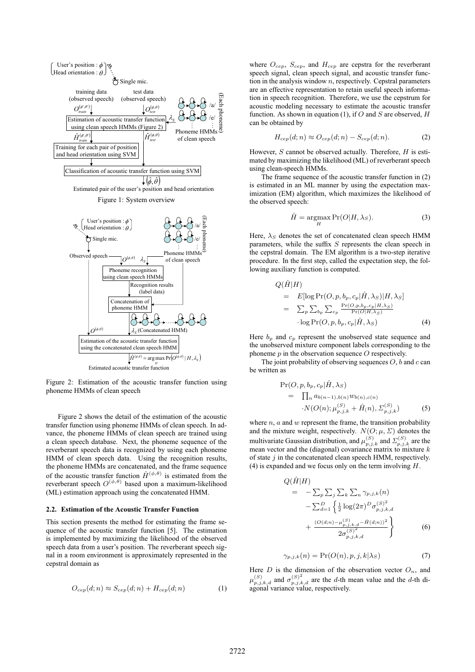

Figure 2: Estimation of the acoustic transfer function using phoneme HMMs of clean speech

Figure 2 shows the detail of the estimation of the acoustic transfer function using phoneme HMMs of clean speech. In advance, the phoneme HMMs of clean speech are trained using a clean speech database. Next, the phoneme sequence of the reverberant speech data is recognized by using each phoneme HMM of clean speech data. Using the recognition results, the phoneme HMMs are concatenated, and the frame sequence of the acoustic transfer function  $\hat{H}^{(\phi,\theta)}$  is estimated from the reverberant speech  $O^{(\phi,\theta)}$  based upon a maximum-likelihood (ML) estimation approach using the concatenated HMM.

#### **2.2. Estimation of the Acoustic Transfer Function**

This section presents the method for estimating the frame sequence of the acoustic transfer function [5]. The estimation is implemented by maximizing the likelihood of the observed speech data from a user's position. The reverberant speech signal in a room environment is approximately represented in the cepstral domain as

$$
O_{cep}(d; n) \approx S_{cep}(d; n) + H_{cep}(d; n)
$$
 (1)

where  $O_{cep}$ ,  $S_{cep}$ , and  $H_{cep}$  are cepstra for the reverberant speech signal, clean speech signal, and acoustic transfer function in the analysis window  $n$ , respectively. Cepstral parameters are an effective representation to retain useful speech information in speech recognition. Therefore, we use the cepstrum for acoustic modeling necessary to estimate the acoustic transfer function. As shown in equation (1), if  $O$  and  $S$  are observed,  $H$ can be obtained by

$$
H_{cep}(d;n) \approx O_{cep}(d;n) - S_{cep}(d;n). \tag{2}
$$

However,  $S$  cannot be observed actually. Therefore,  $H$  is estimated by maximizing the likelihood (ML) of reverberant speech using clean-speech HMMs.

The frame sequence of the acoustic transfer function in (2) is estimated in an ML manner by using the expectation maximization (EM) algorithm, which maximizes the likelihood of the observed speech:

$$
\hat{H} = \underset{H}{\operatorname{argmax}} \Pr(O|H, \lambda_S). \tag{3}
$$

Here,  $\lambda_S$  denotes the set of concatenated clean speech HMM parameters, while the suffix  $S$  represents the clean speech in the cepstral domain. The EM algorithm is a two-step iterative procedure. In the first step, called the expectation step, the following auxiliary function is computed.

$$
Q(\hat{H}|H)
$$
  
=  $E[\log \Pr(O, p, b_p, c_p | \hat{H}, \lambda_S)|H, \lambda_S]$   
=  $\sum_p \sum_{b_p} \sum_{c_p} \frac{\Pr(O, p, b_p, c_p | H, \lambda_S)}{\Pr(O|H, \lambda_S)}$   
log  $\Pr(O, p, b_p, c_p | \hat{H}, \lambda_S)$  (4)

Here  $b_p$  and  $c_p$  represent the unobserved state sequence and the unobserved mixture component labels corresponding to the phoneme  $p$  in the observation sequence  $O$  respectively.

The joint probability of observing sequences  $O$ ,  $b$  and  $c$  can be written as

$$
\Pr(O, p, b_p, c_p | \hat{H}, \lambda_S) \n= \prod_n a_{b(n-1), b(n)} w_{b(n), c(n)} \n\cdot N(O(n); \mu_{p,j,k}^{(S)} + \hat{H}(n), \Sigma_{p,j,k}^{(S)})
$$
\n(5)

where  $n$ ,  $a$  and  $w$  represent the frame, the transition probability and the mixture weight, respectively.  $N(O; \mu, \Sigma)$  denotes the multivariate Gaussian distribution, and  $\mu_{p,j,k}^{(S)}$  and  $\Sigma_{p,j,k}^{(S)}$  are the mean vector and the (diagonal) covariance matrix to mixture  $k$ of state  $j$  in the concatenated clean speech HMM, respectively. (4) is expanded and we focus only on the term involving  $H$ .

$$
Q(\hat{H}|H) = -\sum_{p} \sum_{j} \sum_{k} \sum_{n} \gamma_{p,j,k}(n) -\sum_{d=1}^{D} \left\{ \frac{1}{2} \log(2\pi)^{D} \sigma_{p,j,k,d}^{(S)^{2}} + \frac{(O(d;n) - \mu_{p,j,k,d}^{(S)^{2}} - \hat{H}(d;n))^{2}}{2\sigma_{p,j,k,d}^{(S)^{2}}} \right\}
$$
(6)

$$
\gamma_{p,j,k}(n) = \Pr(O(n), p, j, k | \lambda_S)
$$
\n(7)

Here  $D$  is the dimension of the observation vector  $O_n$ , and  $\mu_{p,j,k,d}^{(S)}$  and  $\sigma_{p,j,k,d}^{(S)^2}$  are the d-th mean value and the d-th diagonal variance value, respectively.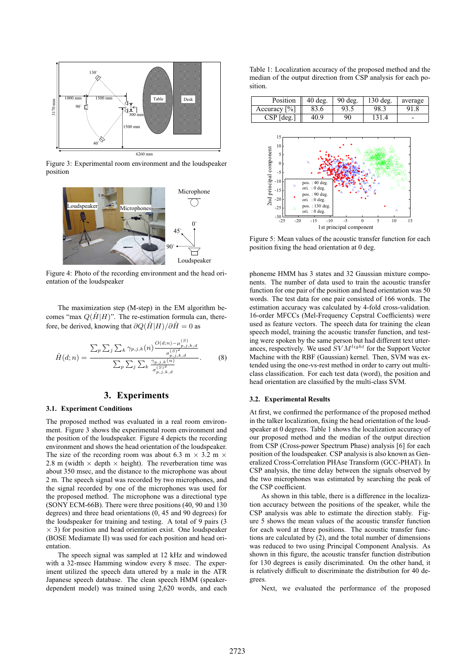

Figure 3: Experimental room environment and the loudspeaker position



Figure 4: Photo of the recording environment and the head orientation of the loudspeaker

The maximization step (M-step) in the EM algorithm becomes "max  $Q(\hat{H}|H)$ ". The re-estimation formula can, therefore, be derived, knowing that  $\partial Q(\hat{H}|H)/\partial \hat{H} = 0$  as

$$
\hat{H}(d;n) = \frac{\sum_{p} \sum_{j} \sum_{k} \gamma_{p,j,k}(n) \frac{O(d;n) - \mu_{p,j,k,d}^{(S)}}{\sigma_{p,j,k,d}^{(S)2}}}{\sum_{p} \sum_{j} \sum_{k} \frac{\gamma_{p,j,k}(n)}{\sigma_{p,j,k,d}^{(S)2}}}.
$$
(8)

# **3. Experiments**

## **3.1. Experiment Conditions**

The proposed method was evaluated in a real room environment. Figure 3 shows the experimental room environment and the position of the loudspeaker. Figure 4 depicts the recording environment and shows the head orientation of the loudspeaker. The size of the recording room was about 6.3 m  $\times$  3.2 m  $\times$ 2.8 m (width  $\times$  depth  $\times$  height). The reverberation time was about 350 msec, and the distance to the microphone was about 2 m. The speech signal was recorded by two microphones, and the signal recorded by one of the microphones was used for the proposed method. The microphone was a directional type (SONY ECM-66B). There were three positions (40, 90 and 130 degrees) and three head orientations (0, 45 and 90 degrees) for the loudspeaker for training and testing. A total of 9 pairs (3  $\times$  3) for position and head orientation exist. One loudspeaker (BOSE Mediamate II) was used for each position and head orientation.

The speech signal was sampled at 12 kHz and windowed with a 32-msec Hamming window every 8 msec. The experiment utilized the speech data uttered by a male in the ATR Japanese speech database. The clean speech HMM (speakerdependent model) was trained using 2,620 words, and each

Table 1: Localization accuracy of the proposed method and the median of the output direction from CSP analysis for each position.

| Position        | $40$ deg. | $90$ deg. | $130$ deg. | average                  |
|-----------------|-----------|-----------|------------|--------------------------|
| Accuracy $[\%]$ | 83.6      | 93.5      | 98.3       | 91.8                     |
| $CSP$ [deg.]    | 40.9      | 90        | 131.4      | $\overline{\phantom{a}}$ |



Figure 5: Mean values of the acoustic transfer function for each position fixing the head orientation at 0 deg.

phoneme HMM has 3 states and 32 Gaussian mixture components. The number of data used to train the acoustic transfer function for one pair of the position and head orientation was 50 words. The test data for one pair consisted of 166 words. The estimation accuracy was calculated by 4-fold cross-validation. 16-order MFCCs (Mel-Frequency Cepstral Coefficients) were used as feature vectors. The speech data for training the clean speech model, training the acoustic transfer function, and testing were spoken by the same person but had different text utterances, respectively. We used  $SVM<sup>light</sup>$  for the Support Vector Machine with the RBF (Gaussian) kernel. Then, SVM was extended using the one-vs-rest method in order to carry out multiclass classification. For each test data (word), the position and head orientation are classified by the multi-class SVM.

#### **3.2. Experimental Results**

At first, we confirmed the performance of the proposed method in the talker localization, fixing the head orientation of the loudspeaker at 0 degrees. Table 1 shows the localization accuracy of our proposed method and the median of the output direction from CSP (Cross-power Spectrum Phase) analysis [6] for each position of the loudspeaker. CSP analysis is also known as Generalized Cross-Correlation PHAse Transform (GCC-PHAT). In CSP analysis, the time delay between the signals observed by the two microphones was estimated by searching the peak of the CSP coefficient.

As shown in this table, there is a difference in the localization accuracy between the positions of the speaker, while the CSP analysis was able to estimate the direction stably. Figure 5 shows the mean values of the acoustic transfer function for each word at three positions. The acoustic transfer functions are calculated by (2), and the total number of dimensions was reduced to two using Principal Component Analysis. As shown in this figure, the acoustic transfer function distribution for 130 degrees is easily discriminated. On the other hand, it is relatively difficult to discriminate the distribution for 40 degrees.

Next, we evaluated the performance of the proposed